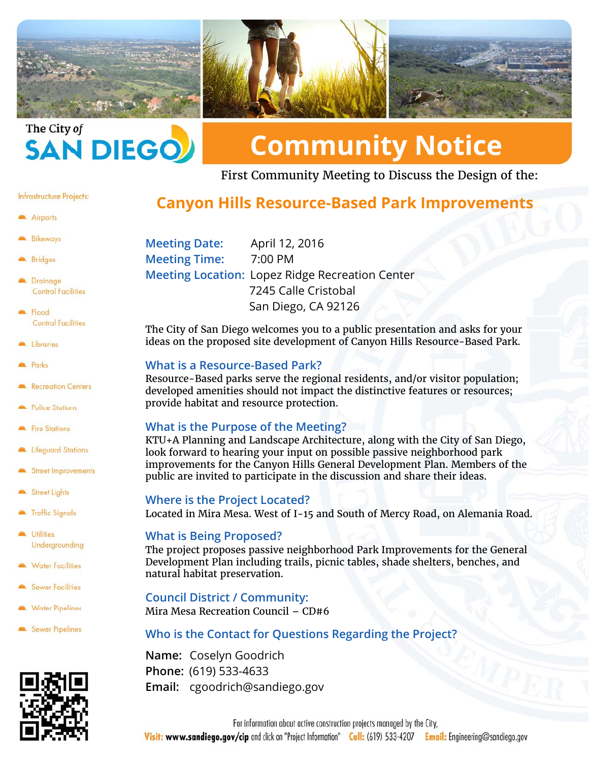



# **Community Notice**

First Community Meeting to Discuss the Design of the:

#### Infrastructure Projects:

#### Airports

- **Bikeways**
- Bridges
- **Drainage Control Facilities**
- Report **Control Facilities**
- Libraries
- **Parks**
- Recreation Centers
- Police Stations
- Fire Stations
- Lifeguard Stations
- Street Improvements
- Street Lights
- Traffic Signals
- Utilities Undergrounding
- **Water Facilities**
- Sewer Facilities
- Water Pipelines
- Sewer Pipelines



# **Canyon Hills Resource-Based Park Improvements**

**Meeting Date:** April 12, 2016 **Meeting Time:** 7:00 PM **Meeting Location:** Lopez Ridge Recreation Center 7245 Calle Cristobal San Diego, CA 92126

The City of San Diego welcomes you to a public presentation and asks for your ideas on the proposed site development of Canyon Hills Resource-Based Park.

## **What is a Resource-Based Park?**

Resource-Based parks serve the regional residents, and/or visitor population; developed amenities should not impact the distinctive features or resources; provide habitat and resource protection.

#### **What is the Purpose of the Meeting?**

KTU+A Planning and Landscape Architecture, along with the City of San Diego, look forward to hearing your input on possible passive neighborhood park improvements for the Canyon Hills General Development Plan. Members of the public are invited to participate in the discussion and share their ideas.

#### **Where is the Project Located?**

Located in Mira Mesa. West of I-15 and South of Mercy Road, on Alemania Road.

#### **What is Being Proposed?**

The project proposes passive neighborhood Park Improvements for the General Development Plan including trails, picnic tables, shade shelters, benches, and natural habitat preservation.

### **Council District / Community:**

Mira Mesa Recreation Council – CD#6

## **Who is the Contact for Questions Regarding the Project?**

**Name:** Coselyn Goodrich **Phone:** (619) 533-4633 **Email:** cgoodrich@sandiego.gov